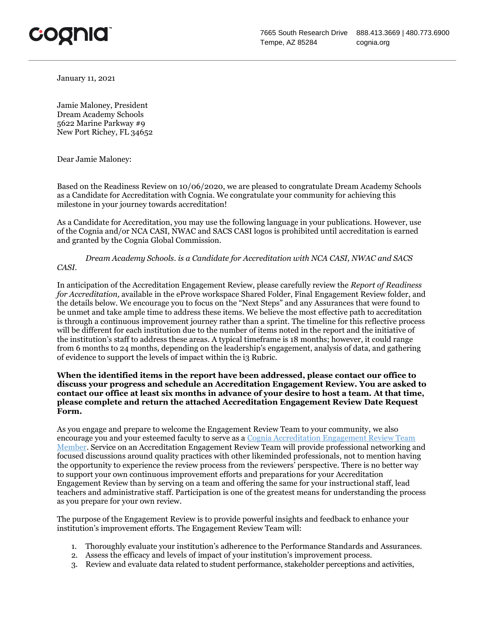

January 11, 2021

Jamie Maloney, President Dream Academy Schools 5622 Marine Parkway #9 New Port Richey, FL 34652

Dear Jamie Maloney:

Based on the Readiness Review on 10/06/2020, we are pleased to congratulate Dream Academy Schools as a Candidate for Accreditation with Cognia. We congratulate your community for achieving this milestone in your journey towards accreditation!

As a Candidate for Accreditation, you may use the following language in your publications. However, use of the Cognia and/or NCA CASI, NWAC and SACS CASI logos is prohibited until accreditation is earned and granted by the Cognia Global Commission.

*Dream Academy Schools. is a Candidate for Accreditation with NCA CASI, NWAC and SACS CASI.* 

In anticipation of the Accreditation Engagement Review, please carefully review the *Report of Readiness for Accreditation,* available in the eProve workspace Shared Folder, Final Engagement Review folder, and the details below. We encourage you to focus on the "Next Steps" and any Assurances that were found to be unmet and take ample time to address these items. We believe the most effective path to accreditation is through a continuous improvement journey rather than a sprint. The timeline for this reflective process will be different for each institution due to the number of items noted in the report and the initiative of the institution's staff to address these areas. A typical timeframe is 18 months; however, it could range from 6 months to 24 months, depending on the leadership's engagement, analysis of data, and gathering of evidence to support the levels of impact within the i3 Rubric.

## **When the identified items in the report have been addressed, please contact our office to discuss your progress and schedule an Accreditation Engagement Review. You are asked to contact our office at least six months in advance of your desire to host a team. At that time, please complete and return the attached Accreditation Engagement Review Date Request Form.**

As you engage and prepare to welcome the Engagement Review Team to your community, we also encourage you and your esteemed faculty to serve as a [Cognia Accreditation Engagement Review Team](https://www.cognia.org/volunteer/)  [Member.](https://www.cognia.org/volunteer/) Service on an Accreditation Engagement Review Team will provide professional networking and focused discussions around quality practices with other likeminded professionals, not to mention having the opportunity to experience the review process from the reviewers' perspective. There is no better way to support your own continuous improvement efforts and preparations for your Accreditation Engagement Review than by serving on a team and offering the same for your instructional staff, lead teachers and administrative staff. Participation is one of the greatest means for understanding the process as you prepare for your own review.

The purpose of the Engagement Review is to provide powerful insights and feedback to enhance your institution's improvement efforts. The Engagement Review Team will:

- 1. Thoroughly evaluate your institution's adherence to the Performance Standards and Assurances.
- 2. Assess the efficacy and levels of impact of your institution's improvement process.
- 3. Review and evaluate data related to student performance, stakeholder perceptions and activities,